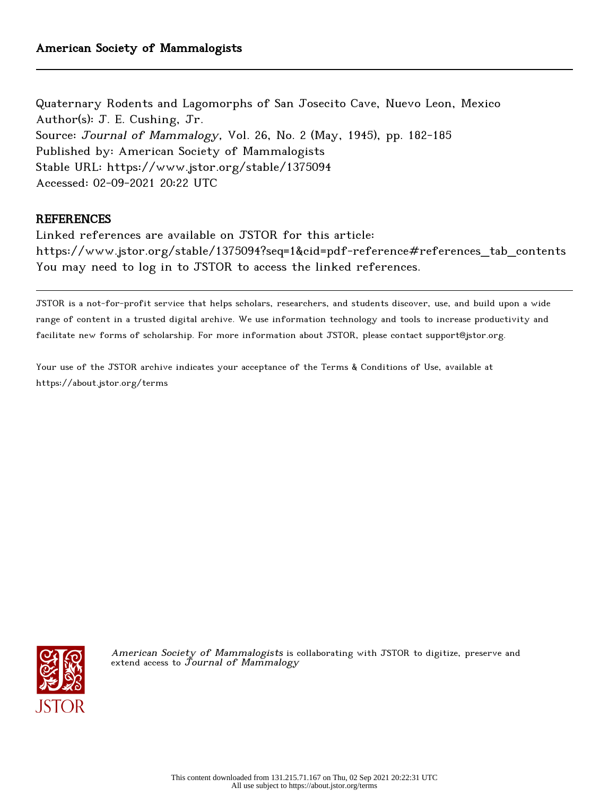Quaternary Rodents and Lagomorphs of San Josecito Cave, Nuevo Leon, Mexico Author(s): J. E. Cushing, Jr. Source: Journal of Mammalogy, Vol. 26, No. 2 (May, 1945), pp. 182-185 Published by: American Society of Mammalogists Stable URL: https://www.jstor.org/stable/1375094 Accessed: 02-09-2021 20:22 UTC

# **REFERENCES**

Linked references are available on JSTOR for this article: https://www.jstor.org/stable/1375094?seq=1&cid=pdf-reference#references\_tab\_contents You may need to log in to JSTOR to access the linked references.

JSTOR is a not-for-profit service that helps scholars, researchers, and students discover, use, and build upon a wide range of content in a trusted digital archive. We use information technology and tools to increase productivity and facilitate new forms of scholarship. For more information about JSTOR, please contact support@jstor.org.

Your use of the JSTOR archive indicates your acceptance of the Terms & Conditions of Use, available at https://about.jstor.org/terms



American Society of Mammalogists is collaborating with JSTOR to digitize, preserve and extend access to  $\bar{J}$ ournal of Mammalogy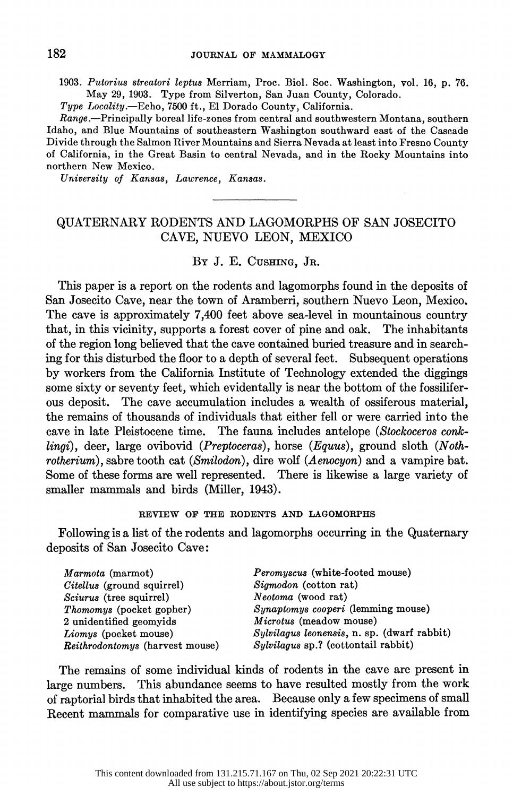1903. Putorius streatori leptus Merriam, Proc. Biol. Soc. Washington, vol. 16, p. 76. 1903. Putorius streatori leptus Merriam, Proc. Biol. Soc. Washington, vol. 16, p. 76. May 29, 1903. Type from Silverton, San Juan County, Colorado. May 29, 1903. Type from Silverton, San Juan County, Colorado.

Type Locality.-Echo, 7500 ft., El Dorado County, California. Locality.-Echo, 7500 ft., El Dorado County, California.

 Range.-Principally boreal life-zones from central and southwestern Montana, southern Range.-Principally boreal life-zones from central and southwestern Montana, southern Idaho, and Blue Mountains of southeastern Washington southward east of the Cascade Idaho, and Blue Mountains of southeastern Washington southward east of the Cascade Divide through the Salmon River Mountains and Sierra Nevada at least into Fresno County Divide through the Salmon River Mountains and Sierra Nevada at least into Fresno County of California, in the Great Basin to central Nevada, and in the Rocky Mountains into of California, in the Great Basin to central Nevada, and in the Rocky Mountains into northern New Mexico.

University of Kansas, Lawrence, Kansas.

## QUATERNARY RODENTS AND LAGOMORPHS OF SAN JOSECITO CAVE, NUEVO LEON, MEXTCO

#### BY J. E. CUSHING, JR.

 This paper is a report on the rodents and lagomorphs found in the deposits of San Josecito Cave, near the town of Aramberri, southern Nuevo Leon, Mexico. The cave is approximately 7,400 feet above sea-level in mountainous country that, in this vicinity, supports a forest cover of pine and oak. The inhabitants of the region long believed that the cave contained buried treasure and in search ing for this disturbed the floor to a depth of several feet. Subsequent operations by workers from the California Institute of Technology extended the diggings some sixty or seventy feet, which evidentally is near the bottom of the fossilifer ous deposit. The cave accumulation includes a wealth of ossiferous material, the remains of thousands of individuals that either fell or were carried into the cave in late Pleistocene time. The fauna includes antelope (Stockoceros conk lingi), deer, large ovibovid (Preptoceras), horse (Equus), ground sloth (Nothrotherium), sabre tooth cat (Smilodon), dire wolf (Aenocyon) and a vampire bat. Some of these forms are well represented. There is likewise a large variety of smaller mammals and birds (Miller, 1943).

#### REVIEW OF THE RODENTS AND LAGOMORPHS

 Following is a list of the rodents and lagomorphs occurring in the Quaternary deposits of San Josecito Cave:

| $Sylvilagus$ leonensis, n. sp. (dwarf rabbit) |
|-----------------------------------------------|

 The remains of some individual kinds of rodents in the cave are present in large numbers. This abundance seems to have resulted mostly from the work of raptorial birds that inhabited the area. Because only a few specimens of small Recent mammals for comparative use in identifying species are available from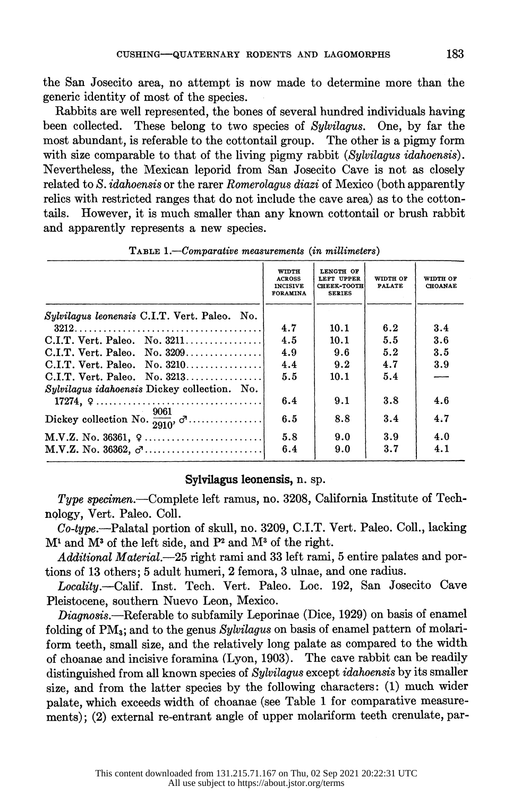the San Josecito area, no attempt is now made to determine more than the generic identity of most of the species.

 Rabbits are well represented, the bones of several hundred individuals having been collected. These belong to two species of Sylvilagus. One, by far the most abundant, is referable to the cottontail group. The other is a pigmy form with size comparable to that of the living pigmy rabbit (Sylvilagus idahoensis). Nevertheless, the Mexican leporid from San Josecito Cave is not as closely related to S. *idahoensis* or the rarer Romerolagus diazi of Mexico (both apparently relics with restricted ranges that do not include the cave area) as to the cotton-<br>tails. However, it is much smaller than any known cottontail or brush rabbit. However, it is much smaller than any known cottontail or brush rabbit and apparently represents a new species.

|                                                                        | WIDTH<br><b>ACROSS</b><br><b>INCISIVE</b><br><b>FORAMINA</b> | LENGTH OF<br>LEFT UPPER<br><b>CHEEK-TOOTH</b><br><b>SERIES</b> | WIDTH OF<br><b>PALATE</b> | WIDTH OF<br><b>CHOANAE</b> |
|------------------------------------------------------------------------|--------------------------------------------------------------|----------------------------------------------------------------|---------------------------|----------------------------|
| <i>Sylvilagus leonensis</i> C.I.T. Vert. Paleo. No.                    |                                                              |                                                                |                           |                            |
|                                                                        | 4.7                                                          | 10.1                                                           | 6.2                       | 3.4                        |
| $C.I.T.$ Vert. Paleo. No. 3211                                         | 4.5                                                          | 10.1                                                           | 5.5                       | 3.6                        |
| $C.I.T.$ Vert. Paleo. No. 3209                                         | 4.9                                                          | 9.6                                                            | 5.2                       | 3.5                        |
|                                                                        | 4.4                                                          | 9.2                                                            | 4.7                       | 3.9                        |
| $C.I.T.$ Vert. Paleo. No. 3213                                         | 5.5                                                          | 10.1                                                           | 5.4                       |                            |
| Sylvilagus idahoensis Dickey collection. No.                           |                                                              |                                                                |                           |                            |
| 17274, $9 \dots 17274$ , $17274$ , $19 \dots 1911$                     | 6.4                                                          | 9.1                                                            | 3.8                       | 4.6                        |
| Dickey collection No. $\frac{9061}{2910}$ , $\sigma$                   | 6.5                                                          | 8.8                                                            | 3.4                       | 4.7                        |
| $M.V.Z. No. 36361, 9 \ldots \ldots \ldots \ldots \ldots \ldots \ldots$ | 5.8                                                          | 9.0                                                            | 3.9                       | 4.0                        |
| $M.V.Z. No. 36362, σ \ldots \ldots \ldots \ldots \ldots$               | 6.4                                                          | 9.0                                                            | 3.7                       | 4.1                        |

TABLE 1.-Comparative measurements (in millimeters)

#### Sylvilagus leonensis, n. sp.

Type specimen.—Complete left ramus, no.  $3208$ , California Institute of Technology, Vert. Paleo. Coll.

 Co-type.-Palatal portion of skull, no. 3209, C.I.T. Vert. Paleo. Coll., lacking  $M<sup>1</sup>$  and  $M<sup>3</sup>$  of the left side, and  $P<sup>2</sup>$  and  $M<sup>3</sup>$  of the right.

Additional Material.-25 right rami and 33 left rami, 5 entire palates and portions of 13 others; 5 adult humeri, 2 femora, 3 ulnae, and one radius.

Locality.-Calif. Inst. Tech. Vert. Paleo. Loc. 192, San Josecito Cave Pleistocene, southern Nuevo Leon, Mexico.

Diagnosis.--Referable to subfamily Leporinae (Dice, 1929) on basis of enamel folding of PM<sub>3</sub>; and to the genus Sylvilagus on basis of enamel pattern of molari form teeth, small size, and the relatively long palate as compared to the width of choanae and incisive foramina (Lyon, 1903). The cave rabbit can be readily distinguished from all known species of Sylvilagus except idahoensis by its smaller size, and from the latter species by the following characters: (1) much wider palate, which exceeds width of choanae (see Table 1 for comparative measure ments); (2) external re-entrant angle of upper molariform teeth crenulate, par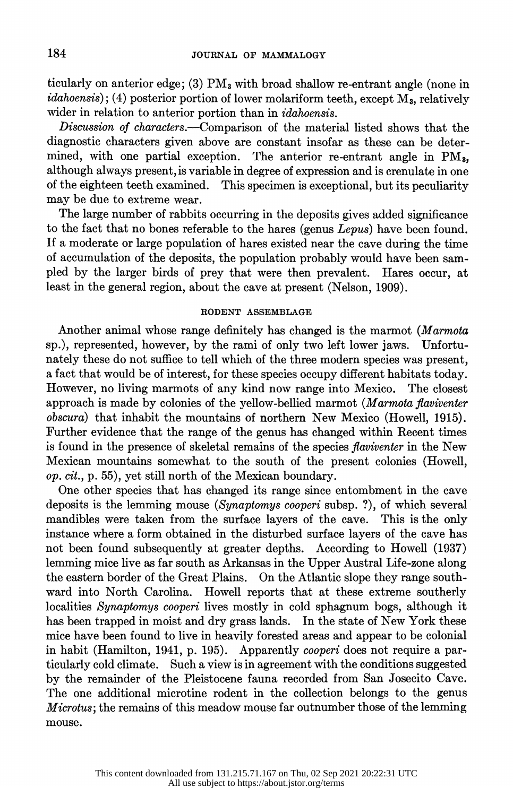ticularly on anterior edge; (3)  $PM_3$  with broad shallow re-entrant angle (none in  $idahoensis$ ; (4) posterior portion of lower molariform teeth, except  $M<sub>a</sub>$ , relatively wider in relation to anterior portion than in idahoensis.

Discussion of characters.—Comparison of the material listed shows that the diagnostic characters given above are constant insofar as these can be deter mined, with one partial exception. The anterior re-entrant angle in PM3, although always present, is variable in degree of expression and is crenulate in one This specimen is exceptional, but its peculiarity may be due to extreme wear.

 The large number of rabbits occurring in the deposits gives added significance to the fact that no bones referable to the hares (genus Lepus) have been found. If a moderate or large population of hares existed near the cave during the time of accumulation of the deposits, the population probably would have been sam-<br>pled by the larger birds of prey that were then prevalent. Hares occur, at pled by the larger birds of prey that were then prevalent. least in the general region, about the cave at present (Nelson, 1909).

### RODENT ASSEMBLAGE

 Another animal whose range definitely has changed is the marmot (Marmota sp.), represented, however, by the rami of only two left lower jaws. Unfortu nately these do not suffice to tell which of the three modern species was present, a fact that would be of interest, for these species occupy different habitats today. However, no living marmots of any kind now range into Mexico. approach is made by colonies of the yellow-bellied marmot (Marmota flaviventer obscura) that inhabit the mountains of northern New Mexico (Howell, 1915). Further evidence that the range of the genus has changed within Recent times is found in the presence of skeletal remains of the species flaviventer in the New Mexican mountains somewhat to the south of the present colonies (Howell, op. cit., p. 55), yet still north of the Mexican boundary.

 One other species that has changed its range since entombment in the cave deposits is the lemming mouse (Synaptomys cooperi subsp. ?), of which several mandibles were taken from the surface layers of the cave. This is the only instance where a form obtained in the disturbed surface layers of the cave has not been found subsequently at greater depths. According to Howell (1937) lemming mice live as far south as Arkansas in the Upper Austral Life-zone along the eastern border of the Great Plains. On the Atlantic slope they range south ward into North Carolina. Howell reports that at these extreme southerly localities Synaptomys cooperi lives mostly in cold sphagnum bogs, although it has been trapped in moist and dry grass lands. In the state of New York these mice have been found to live in heavily forested areas and appear to be colonial in habit (Hamilton, 1941, p. 195). Apparently cooperi does not require a par ticularly cold climate. Such a view is in agreement with the conditions suggested by the remainder of the Pleistocene fauna recorded from San Josecito Cave. The one additional microtine rodent in the collection belongs to the genus Microtus; the remains of this meadow mouse far outnumber those of the lemming mouse.